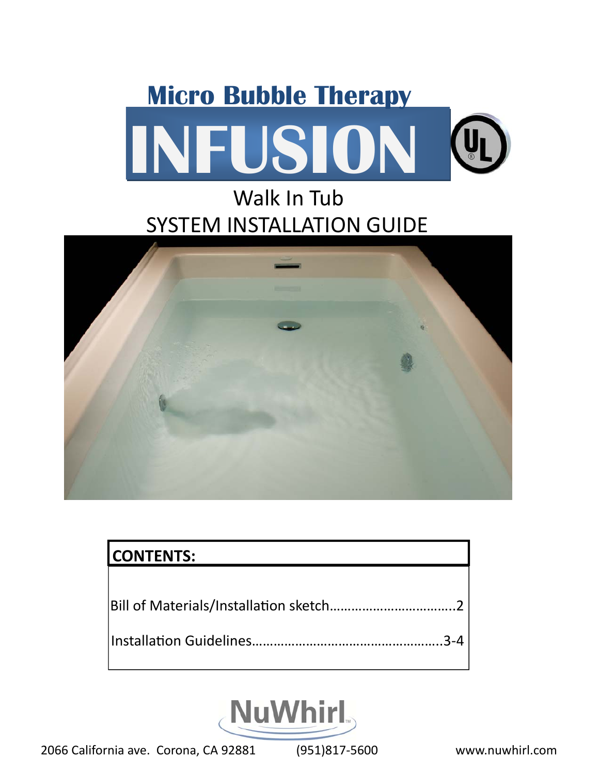# **INFUSION Micro Bubble Therapy**

## SYSTEM INSTALLATION GUIDE Walk In Tub



| <b>CONTENTS:</b> |
|------------------|
|                  |
|                  |
|                  |



2066 California ave. Corona, CA 92881 (951)817‐5600 www.nuwhirl.com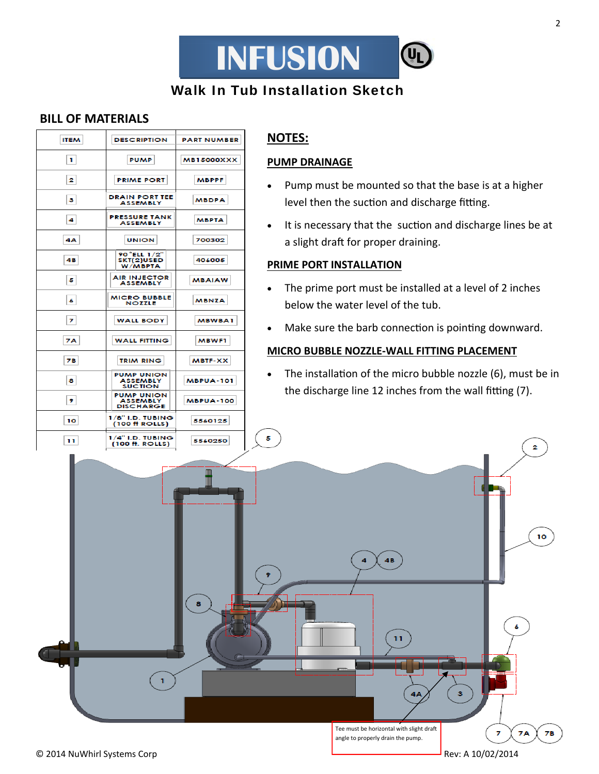

#### Walk In Tub Installation Sketch

#### **BILL OF MATERIALS**

| <b>ITEM</b> | <b>DESCRIPTION</b>                                       | <b>PART NUMBER</b> |
|-------------|----------------------------------------------------------|--------------------|
| 1           | <b>PUMP</b>                                              | <b>MB15000XXX</b>  |
| 2           | <b>PRIME PORT</b>                                        | <b>MBPPF</b>       |
| з           | <b>DRAIN PORT TEE</b><br><b>ASSEMBLY</b>                 | <b>MBDPA</b>       |
| 4           | <b>PRESSURE TANK</b><br><b>ASSEMBLY</b>                  | <b>MBPTA</b>       |
| 4Α          | <b>UNION</b>                                             | 700302             |
| 4В          | 90 ELL 1/2"<br>SKT(2)USED<br>W/MBPTA                     | 406005             |
| 5           | <b>AIR INJECTOR</b><br><b>ASSEMBLY</b>                   | <b>MBAIAW</b>      |
| 6           | <b>MICRO BUBBLE</b><br><b>NOZZLE</b>                     | <b>MBNZA</b>       |
| 7           | <b>WALL BODY</b>                                         | <b>MBWBA1</b>      |
| 7Α          | <b>WALL FITTING</b>                                      | <b>MBWF1</b>       |
| 7В          | <b>TRIM RING</b>                                         | <b>MBTF-XX</b>     |
| 8           | <b>PUMP UNION</b><br><b>ASSEMBLY</b><br><b>SUCTION</b>   | <b>MBPUA-101</b>   |
| 9           | <b>PUMP UNION</b><br><b>ASSEMBLY</b><br><b>DISCHARGE</b> | <b>MBPUA-100</b>   |
| 10          | $1/8"$ I.D. TUBING<br>$(100 \text{ ft}$ ROLLS)           | 5560125            |
| 11          | $1/4"$ I.D. TUBING<br>(100 ft. ROLLS)                    | 5560250            |

#### **NOTES:**

#### **PUMP DRAINAGE**

- Pump must be mounted so that the base is at a higher level then the suction and discharge fitting.
- It is necessary that the suction and discharge lines be at a slight draft for proper draining.

#### **PRIME PORT INSTALLATION**

- The prime port must be installed at a level of 2 inches below the water level of the tub.
- Make sure the barb connection is pointing downward.

#### **MICRO BUBBLE NOZZLE‐WALL FITTING PLACEMENT**

• The installation of the micro bubble nozzle (6), must be in the discharge line 12 inches from the wall fitting (7).



5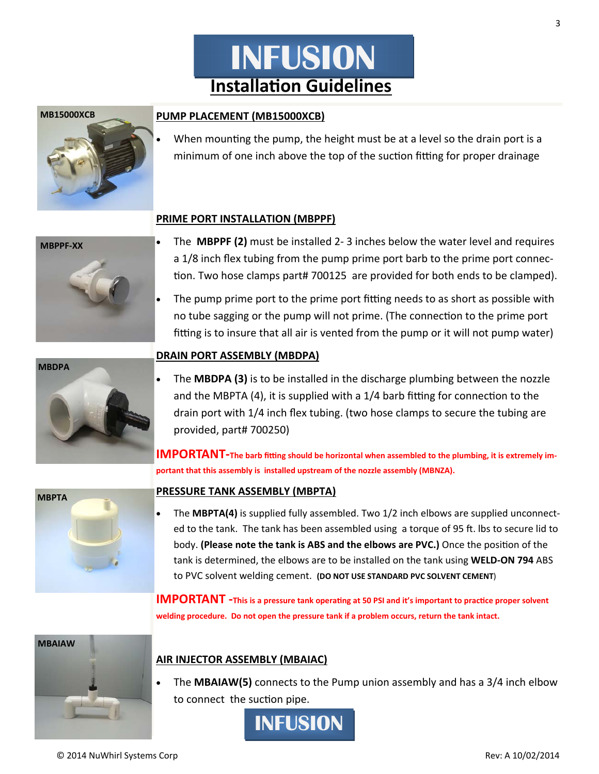## **InstallaƟon Guidelines INFUSION**

#### **PUMP PLACEMENT (MB15000XCB)**

When mounting the pump, the height must be at a level so the drain port is a minimum of one inch above the top of the suction fitting for proper drainage

#### **PRIME PORT INSTALLATION (MBPPF)**

- The **MBPPF (2)** must be installed 2‐ 3 inches below the water level and requires a 1/8 inch flex tubing from the pump prime port barb to the prime port connec‐ tion. Two hose clamps part# 700125 are provided for both ends to be clamped).
- The pump prime port to the prime port fitting needs to as short as possible with no tube sagging or the pump will not prime. (The connection to the prime port fitting is to insure that all air is vented from the pump or it will not pump water)

#### **DRAIN PORT ASSEMBLY (MBDPA)**

 The **MBDPA (3)** is to be installed in the discharge plumbing between the nozzle and the MBPTA (4), it is supplied with a  $1/4$  barb fitting for connection to the drain port with 1/4 inch flex tubing. (two hose clamps to secure the tubing are provided, part# 700250)

IMPORTANT-The barb fitting should be horizontal when assembled to the plumbing, it is extremely im**portant that this assembly is installed upstream of the nozzle assembly (MBNZA).**

#### **PRESSURE TANK ASSEMBLY (MBPTA)**

 The **MBPTA(4)** is supplied fully assembled. Two 1/2 inch elbows are supplied unconnect‐ ed to the tank. The tank has been assembled using a torque of 95 ft. Ibs to secure lid to body. **(Please note the tank is ABS and the elbows are PVC.)** Once the posiƟon of the tank is determined, the elbows are to be installed on the tank using **WELD‐ON 794** ABS to PVC solvent welding cement. **(DO NOT USE STANDARD PVC SOLVENT CEMENT**)

**IMPORTANT** -This is a pressure tank operating at 50 PSI and it's important to practice proper solvent **welding procedure. Do not open the pressure tank if a problem occurs, return the tank intact.**



 The **MBAIAW(5)** connects to the Pump union assembly and has a 3/4 inch elbow to connect the suction pipe.



3

**MBAIAW**

**MBDPA**









**MB15000XCB**